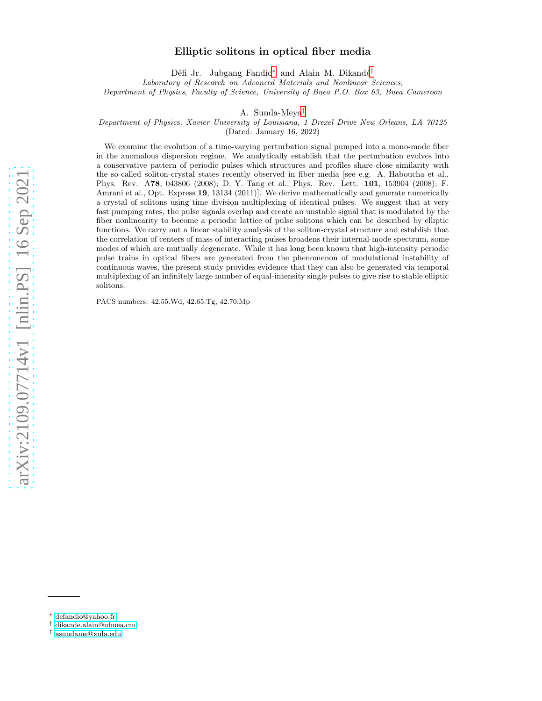# arXiv:2109.07714v1 [nlin.PS] 16 Sep 2021 [arXiv:2109.07714v1 \[nlin.PS\] 16 Sep 2021](http://arxiv.org/abs/2109.07714v1)

# Elliptic solitons in optical fiber media

Défi Jr. Jubgang Fandio<sup>\*</sup> and Alain M. Dikandé<sup>[†](#page-0-1)</sup> Laboratory of Research on Advanced Materials and Nonlinear Sciences, Department of Physics, Faculty of Science, University of Buea P.O. Box 63, Buea Cameroon

A. Sunda-Meya[‡](#page-0-2)

Department of Physics, Xavier University of Louisiana, 1 Drexel Drive New Orleans, LA 70125

(Dated: January 16, 2022)

We examine the evolution of a time-varying perturbation signal pumped into a mono-mode fiber in the anomalous dispersion regime. We analytically establish that the perturbation evolves into a conservative pattern of periodic pulses which structures and profiles share close similarity with the so-called soliton-crystal states recently observed in fiber media [see e.g. A. Haboucha et al., Phys. Rev. A78, 043806 (2008); D. Y. Tang et al., Phys. Rev. Lett. 101, 153904 (2008); F. Amrani et al., Opt. Express 19, 13134 (2011)]. We derive mathematically and generate numerically a crystal of solitons using time division multiplexing of identical pulses. We suggest that at very fast pumping rates, the pulse signals overlap and create an unstable signal that is modulated by the fiber nonlinearity to become a periodic lattice of pulse solitons which can be described by elliptic functions. We carry out a linear stability analysis of the soliton-crystal structure and establish that the correlation of centers of mass of interacting pulses broadens their internal-mode spectrum, some modes of which are mutually degenerate. While it has long been known that high-intensity periodic pulse trains in optical fibers are generated from the phenomenon of modulational instability of continuous waves, the present study provides evidence that they can also be generated via temporal multiplexing of an infinitely large number of equal-intensity single pulses to give rise to stable elliptic solitons.

PACS numbers: 42.55.Wd, 42.65.Tg, 42.70.Mp

<span id="page-0-0"></span><sup>∗</sup> [defandio@yahoo.fr](mailto:defandio@yahoo.fr)

<span id="page-0-1"></span><sup>†</sup> [dikande.alain@ubuea.cm](mailto:dikande.alain@ubuea.cm)

<span id="page-0-2"></span><sup>‡</sup> [asundame@xula.edu](mailto:asundame@xula.edu)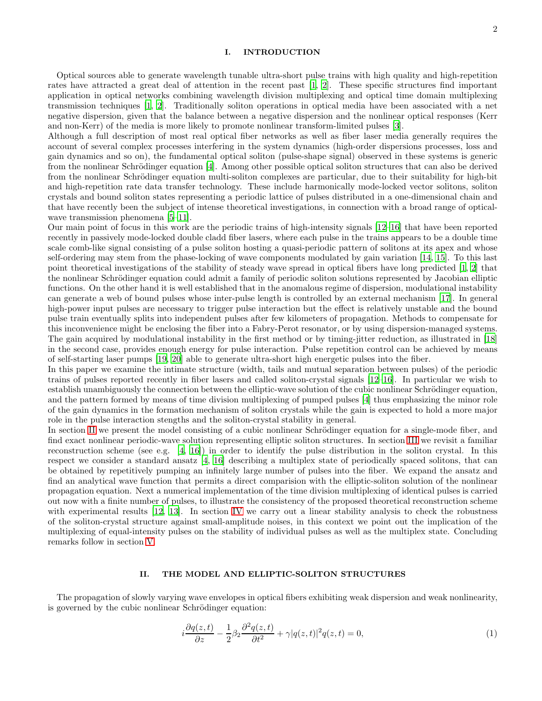## I. INTRODUCTION

Optical sources able to generate wavelength tunable ultra-short pulse trains with high quality and high-repetition rates have attracted a great deal of attention in the recent past [\[1,](#page-8-0) [2](#page-8-1)]. These specific structures find important application in optical networks combining wavelength division multiplexing and optical time domain multiplexing transmission techniques [\[1,](#page-8-0) [2\]](#page-8-1). Traditionally soliton operations in optical media have been associated with a net negative dispersion, given that the balance between a negative dispersion and the nonlinear optical responses (Kerr and non-Kerr) of the media is more likely to promote nonlinear transform-limited pulses [\[3\]](#page-8-2).

Although a full description of most real optical fiber networks as well as fiber laser media generally requires the account of several complex processes interfering in the system dynamics (high-order dispersions processes, loss and gain dynamics and so on), the fundamental optical soliton (pulse-shape signal) observed in these systems is generic from the nonlinear Schrödinger equation [\[4](#page-8-3)]. Among other possible optical soliton structures that can also be derived from the nonlinear Schrödinger equation multi-soliton complexes are particular, due to their suitability for high-bit and high-repetition rate data transfer technology. These include harmonically mode-locked vector solitons, soliton crystals and bound soliton states representing a periodic lattice of pulses distributed in a one-dimensional chain and that have recently been the subject of intense theoretical investigations, in connection with a broad range of optical-wave transmission phenomena [\[5](#page-8-4)[–11\]](#page-8-5).

Our main point of focus in this work are the periodic trains of high-intensity signals [\[12](#page-8-6)[–16](#page-8-7)] that have been reported recently in passively mode-locked double cladd fiber lasers, where each pulse in the trains appears to be a double time scale comb-like signal consisting of a pulse soliton hosting a quasi-periodic pattern of solitons at its apex and whose self-ordering may stem from the phase-locking of wave components modulated by gain variation [\[14,](#page-8-8) [15\]](#page-8-9). To this last point theoretical investigations of the stability of steady wave spread in optical fibers have long predicted [\[1,](#page-8-0) [2\]](#page-8-1) that the nonlinear Schrödinger equation could admit a family of periodic soliton solutions represented by Jacobian elliptic functions. On the other hand it is well established that in the anomalous regime of dispersion, modulational instability can generate a web of bound pulses whose inter-pulse length is controlled by an external mechanism [\[17\]](#page-8-10). In general high-power input pulses are necessary to trigger pulse interaction but the effect is relatively unstable and the bound pulse train eventually splits into independent pulses after few kilometers of propagation. Methods to compensate for this inconvenience might be enclosing the fiber into a Fabry-Perot resonator, or by using dispersion-managed systems. The gain acquired by modulational instability in the first method or by timing-jitter reduction, as illustrated in [\[18](#page-8-11)] in the second case, provides enough energy for pulse interaction. Pulse repetition control can be achieved by means of self-starting laser pumps [\[19](#page-9-0), [20](#page-9-1)] able to generate ultra-short high energetic pulses into the fiber.

In this paper we examine the intimate structure (width, tails and mutual separation between pulses) of the periodic trains of pulses reported recently in fiber lasers and called soliton-crystal signals [\[12](#page-8-6)[–16\]](#page-8-7). In particular we wish to establish unambiguously the connection between the elliptic-wave solution of the cubic nonlinear Schrödinger equation, and the pattern formed by means of time division multiplexing of pumped pulses [\[4\]](#page-8-3) thus emphasizing the minor role of the gain dynamics in the formation mechanism of soliton crystals while the gain is expected to hold a more major role in the pulse interaction stengths and the soliton-crystal stability in general.

In section [II](#page-1-0) we present the model consisting of a cubic nonlinear Schrödinger equation for a single-mode fiber, and find exact nonlinear periodic-wave solution representing elliptic soliton structures. In section [III](#page-3-0) we revisit a familiar reconstruction scheme (see e.g. [\[4,](#page-8-3) [16](#page-8-7)]) in order to identify the pulse distribution in the soliton crystal. In this respect we consider a standard ansatz [\[4,](#page-8-3) [16\]](#page-8-7) describing a multiplex state of periodically spaced solitons, that can be obtained by repetitively pumping an infinitely large number of pulses into the fiber. We expand the ansatz and find an analytical wave function that permits a direct comparision with the elliptic-soliton solution of the nonlinear propagation equation. Next a numerical implementation of the time division multiplexing of identical pulses is carried out now with a finite number of pulses, to illustrate the consistency of the proposed theoretical reconstruction scheme with experimental results [\[12](#page-8-6), [13](#page-8-12)]. In section [IV](#page-5-0) we carry out a linear stability analysis to check the robustness of the soliton-crystal structure against small-amplitude noises, in this context we point out the implication of the multiplexing of equal-intensity pulses on the stability of individual pulses as well as the multiplex state. Concluding remarks follow in section [V.](#page-8-13)

# <span id="page-1-0"></span>II. THE MODEL AND ELLIPTIC-SOLITON STRUCTURES

The propagation of slowly varying wave envelopes in optical fibers exhibiting weak dispersion and weak nonlinearity, is governed by the cubic nonlinear Schrödinger equation:

<span id="page-1-1"></span>
$$
i\frac{\partial q(z,t)}{\partial z} - \frac{1}{2}\beta_2 \frac{\partial^2 q(z,t)}{\partial t^2} + \gamma |q(z,t)|^2 q(z,t) = 0,\tag{1}
$$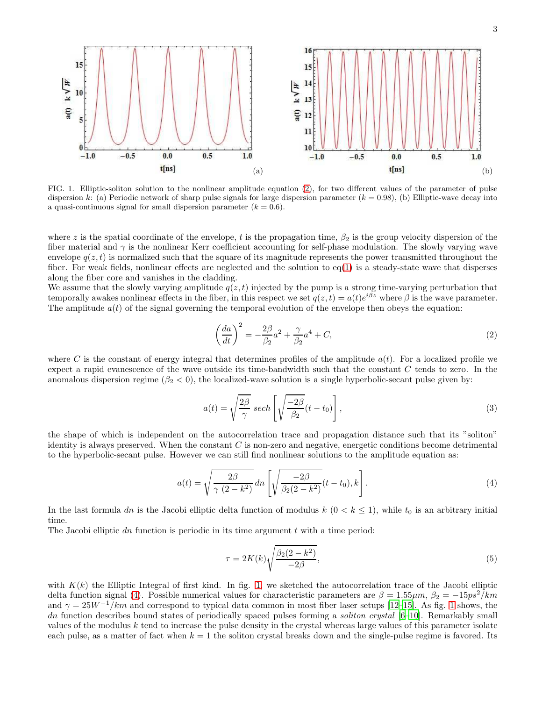

<span id="page-2-1"></span>FIG. 1. Elliptic-soliton solution to the nonlinear amplitude equation [\(2\)](#page-2-0), for two different values of the parameter of pulse dispersion k: (a) Periodic network of sharp pulse signals for large dispersion parameter  $(k = 0.98)$ , (b) Elliptic-wave decay into a quasi-continuous signal for small dispersion parameter  $(k = 0.6)$ .

where z is the spatial coordinate of the envelope, t is the propagation time,  $\beta_2$  is the group velocity dispersion of the fiber material and  $\gamma$  is the nonlinear Kerr coefficient accounting for self-phase modulation. The slowly varying wave envelope  $q(z, t)$  is normalized such that the square of its magnitude represents the power transmitted throughout the fiber. For weak fields, nonlinear effects are neglected and the solution to  $eq(1)$  $eq(1)$  is a steady-state wave that disperses along the fiber core and vanishes in the cladding.

We assume that the slowly varying amplitude  $q(z, t)$  injected by the pump is a strong time-varying perturbation that temporally awakes nonlinear effects in the fiber, in this respect we set  $q(z,t) = a(t)e^{i\beta z}$  where  $\beta$  is the wave parameter. The amplitude  $a(t)$  of the signal governing the temporal evolution of the envelope then obeys the equation:

<span id="page-2-0"></span>
$$
\left(\frac{da}{dt}\right)^2 = -\frac{2\beta}{\beta_2}a^2 + \frac{\gamma}{\beta_2}a^4 + C,\tag{2}
$$

where C is the constant of energy integral that determines profiles of the amplitude  $a(t)$ . For a localized profile we expect a rapid evanescence of the wave outside its time-bandwidth such that the constant C tends to zero. In the anomalous dispersion regime  $(\beta_2 < 0)$ , the localized-wave solution is a single hyperbolic-secant pulse given by:

$$
a(t) = \sqrt{\frac{2\beta}{\gamma}} \ sech\left[\sqrt{\frac{-2\beta}{\beta_2}}(t - t_0)\right],\tag{3}
$$

the shape of which is independent on the autocorrelation trace and propagation distance such that its "soliton" identity is always preserved. When the constant  $C$  is non-zero and negative, energetic conditions become detrimental to the hyperbolic-secant pulse. However we can still find nonlinear solutions to the amplitude equation as:

<span id="page-2-2"></span>
$$
a(t) = \sqrt{\frac{2\beta}{\gamma (2 - k^2)}} dn \left[ \sqrt{\frac{-2\beta}{\beta_2 (2 - k^2)}} (t - t_0), k \right].
$$
\n(4)

In the last formula dn is the Jacobi elliptic delta function of modulus  $k$   $(0 < k \le 1)$ , while  $t_0$  is an arbitrary initial time.

The Jacobi elliptic dn function is periodic in its time argument  $t$  with a time period:

$$
\tau = 2K(k)\sqrt{\frac{\beta_2(2-k^2)}{-2\beta}},\tag{5}
$$

with  $K(k)$  the Elliptic Integral of first kind. In fig. [1,](#page-2-1) we sketched the autocorrelation trace of the Jacobi elliptic delta function signal [\(4\)](#page-2-2). Possible numerical values for characteristic parameters are  $\beta = 1.55 \mu m$ ,  $\beta_2 = -15ps^2/km$ and  $\gamma = 25W^{-1}/km$  and correspond to typical data common in most fiber laser setups [\[12](#page-8-6)[–15\]](#page-8-9). As fig. [1](#page-2-1) shows, the dn function describes bound states of periodically spaced pulses forming a soliton crystal [\[6](#page-8-14)[–10\]](#page-8-15). Remarkably small values of the modulus k tend to increase the pulse density in the crystal whereas large values of this parameter isolate each pulse, as a matter of fact when  $k = 1$  the soliton crystal breaks down and the single-pulse regime is favored. Its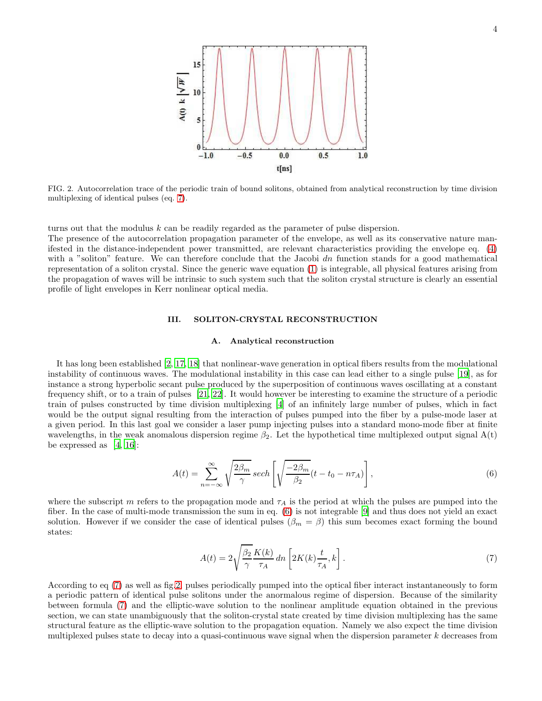

<span id="page-3-3"></span>FIG. 2. Autocorrelation trace of the periodic train of bound solitons, obtained from analytical reconstruction by time division multiplexing of identical pulses (eq. [7\)](#page-3-1).

turns out that the modulus k can be readily regarded as the parameter of pulse dispersion.

The presence of the autocorrelation propagation parameter of the envelope, as well as its conservative nature manifested in the distance-independent power transmitted, are relevant characteristics providing the envelope eq. [\(4\)](#page-2-2) with a "soliton" feature. We can therefore conclude that the Jacobi dn function stands for a good mathematical representation of a soliton crystal. Since the generic wave equation [\(1\)](#page-1-1) is integrable, all physical features arising from the propagation of waves will be intrinsic to such system such that the soliton crystal structure is clearly an essential profile of light envelopes in Kerr nonlinear optical media.

### <span id="page-3-0"></span>III. SOLITON-CRYSTAL RECONSTRUCTION

### A. Analytical reconstruction

It has long been established [\[2,](#page-8-1) [17](#page-8-10), [18\]](#page-8-11) that nonlinear-wave generation in optical fibers results from the modulational instability of continuous waves. The modulational instability in this case can lead either to a single pulse [\[19](#page-9-0)], as for instance a strong hyperbolic secant pulse produced by the superposition of continuous waves oscillating at a constant frequency shift, or to a train of pulses [\[21,](#page-9-2) [22](#page-9-3)]. It would however be interesting to examine the structure of a periodic train of pulses constructed by time division multiplexing [\[4\]](#page-8-3) of an infinitely large number of pulses, which in fact would be the output signal resulting from the interaction of pulses pumped into the fiber by a pulse-mode laser at a given period. In this last goal we consider a laser pump injecting pulses into a standard mono-mode fiber at finite wavelengths, in the weak anomalous dispersion regime  $\beta_2$ . Let the hypothetical time multiplexed output signal  $A(t)$ be expressed as  $[4, 16]$  $[4, 16]$ :

<span id="page-3-2"></span>
$$
A(t) = \sum_{n = -\infty}^{\infty} \sqrt{\frac{2\beta_m}{\gamma}} \operatorname{sech}\left[\sqrt{\frac{-2\beta_m}{\beta_2}}(t - t_0 - n\tau_A)\right],\tag{6}
$$

where the subscript m refers to the propagation mode and  $\tau_A$  is the period at which the pulses are pumped into the fiber. In the case of multi-mode transmission the sum in eq. [\(6\)](#page-3-2) is not integrable [\[9](#page-8-16)] and thus does not yield an exact solution. However if we consider the case of identical pulses  $(\beta_m = \beta)$  this sum becomes exact forming the bound states:

<span id="page-3-1"></span>
$$
A(t) = 2\sqrt{\frac{\beta_2}{\gamma}} \frac{K(k)}{\tau_A} dn \left[2K(k)\frac{t}{\tau_A}, k\right].
$$
 (7)

According to eq [\(7\)](#page-3-1) as well as fig[.2,](#page-3-3) pulses periodically pumped into the optical fiber interact instantaneously to form a periodic pattern of identical pulse solitons under the anormalous regime of dispersion. Because of the similarity between formula [\(7\)](#page-3-1) and the elliptic-wave solution to the nonlinear amplitude equation obtained in the previous section, we can state unambiguously that the soliton-crystal state created by time division multiplexing has the same structural feature as the elliptic-wave solution to the propagation equation. Namely we also expect the time division multiplexed pulses state to decay into a quasi-continuous wave signal when the dispersion parameter k decreases from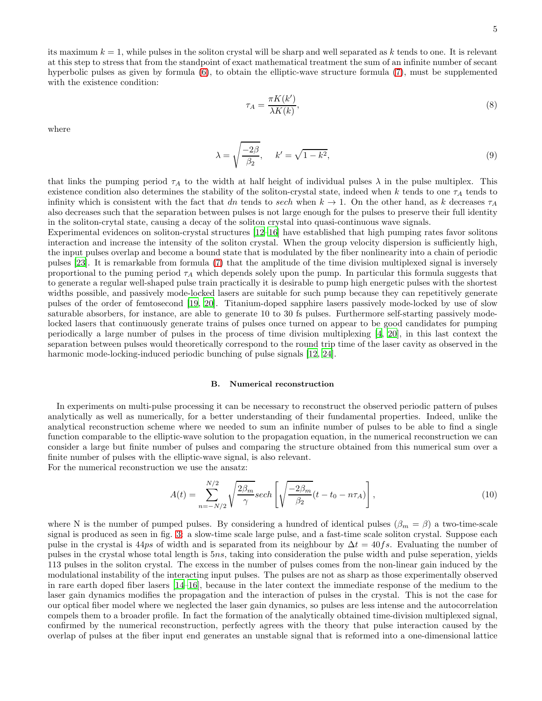its maximum  $k = 1$ , while pulses in the soliton crystal will be sharp and well separated as k tends to one. It is relevant at this step to stress that from the standpoint of exact mathematical treatment the sum of an infinite number of secant hyperbolic pulses as given by formula [\(6\)](#page-3-2), to obtain the elliptic-wave structure formula [\(7\)](#page-3-1), must be supplemented with the existence condition:

$$
\tau_A = \frac{\pi K(k')}{\lambda K(k)},\tag{8}
$$

where

$$
\lambda = \sqrt{\frac{-2\beta}{\beta_2}}, \quad k' = \sqrt{1 - k^2},\tag{9}
$$

that links the pumping period  $\tau_A$  to the width at half height of individual pulses  $\lambda$  in the pulse multiplex. This existence condition also determines the stability of the soliton-crystal state, indeed when k tends to one  $\tau_A$  tends to infinity which is consistent with the fact that dn tends to sech when  $k \to 1$ . On the other hand, as k decreases  $\tau_A$ also decreases such that the separation between pulses is not large enough for the pulses to preserve their full identity in the soliton-crytal state, causing a decay of the soliton crystal into quasi-continuous wave signals.

Experimental evidences on soliton-crystal structures [\[12](#page-8-6)[–16\]](#page-8-7) have established that high pumping rates favor solitons interaction and increase the intensity of the soliton crystal. When the group velocity dispersion is sufficiently high, the input pulses overlap and become a bound state that is modulated by the fiber nonlinearity into a chain of periodic pulses [\[23](#page-9-4)]. It is remarkable from formula [\(7\)](#page-3-1) that the amplitude of the time division multiplexed signal is inversely proportional to the puming period  $\tau_A$  which depends solely upon the pump. In particular this formula suggests that to generate a regular well-shaped pulse train practically it is desirable to pump high energetic pulses with the shortest widths possible, and passively mode-locked lasers are suitable for such pump because they can repetitively generate pulses of the order of femtosecond [\[19](#page-9-0), [20\]](#page-9-1). Titanium-doped sapphire lasers passively mode-locked by use of slow saturable absorbers, for instance, are able to generate 10 to 30 fs pulses. Furthermore self-starting passively modelocked lasers that continuously generate trains of pulses once turned on appear to be good candidates for pumping periodically a large number of pulses in the process of time division multiplexing [\[4](#page-8-3), [20\]](#page-9-1), in this last context the separation between pulses would theoretically correspond to the round trip time of the laser cavity as observed in the harmonic mode-locking-induced periodic bunching of pulse signals [\[12,](#page-8-6) [24\]](#page-9-5).

# B. Numerical reconstruction

In experiments on multi-pulse processing it can be necessary to reconstruct the observed periodic pattern of pulses analytically as well as numerically, for a better understanding of their fundamental properties. Indeed, unlike the analytical reconstruction scheme where we needed to sum an infinite number of pulses to be able to find a single function comparable to the elliptic-wave solution to the propagation equation, in the numerical reconstruction we can consider a large but finite number of pulses and comparing the structure obtained from this numerical sum over a finite number of pulses with the elliptic-wave signal, is also relevant.

For the numerical reconstruction we use the ansatz:

$$
A(t) = \sum_{n=-N/2}^{N/2} \sqrt{\frac{2\beta_m}{\gamma}} sech\left[\sqrt{\frac{-2\beta_m}{\beta_2}}(t - t_0 - n\tau_A)\right],
$$
\n(10)

where N is the number of pumped pulses. By considering a hundred of identical pulses ( $\beta_m = \beta$ ) a two-time-scale signal is produced as seen in fig. [3:](#page-5-1) a slow-time scale large pulse, and a fast-time scale soliton crystal. Suppose each pulse in the crystal is 44ps of width and is separated from its neighbour by  $\Delta t = 40fs$ . Evaluating the number of pulses in the crystal whose total length is 5ns, taking into consideration the pulse width and pulse seperation, yields 113 pulses in the soliton crystal. The excess in the number of pulses comes from the non-linear gain induced by the modulational instability of the interacting input pulses. The pulses are not as sharp as those experimentally observed in rare earth doped fiber lasers [\[14](#page-8-8)[–16\]](#page-8-7), because in the later context the immediate response of the medium to the laser gain dynamics modifies the propagation and the interaction of pulses in the crystal. This is not the case for our optical fiber model where we neglected the laser gain dynamics, so pulses are less intense and the autocorrelation compels them to a broader profile. In fact the formation of the analytically obtained time-division multiplexed signal, confirmed by the numerical reconstruction, perfectly agrees with the theory that pulse interaction caused by the overlap of pulses at the fiber input end generates an unstable signal that is reformed into a one-dimensional lattice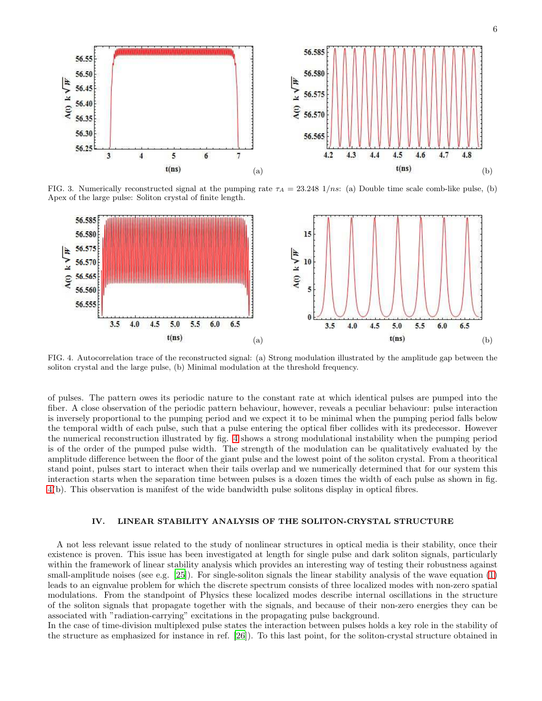

<span id="page-5-1"></span>FIG. 3. Numerically reconstructed signal at the pumping rate  $\tau_A = 23.248 \frac{1}{ns}$ : (a) Double time scale comb-like pulse, (b) Apex of the large pulse: Soliton crystal of finite length.



<span id="page-5-2"></span>FIG. 4. Autocorrelation trace of the reconstructed signal: (a) Strong modulation illustrated by the amplitude gap between the soliton crystal and the large pulse, (b) Minimal modulation at the threshold frequency.

of pulses. The pattern owes its periodic nature to the constant rate at which identical pulses are pumped into the fiber. A close observation of the periodic pattern behaviour, however, reveals a peculiar behaviour: pulse interaction is inversely proportional to the pumping period and we expect it to be minimal when the pumping period falls below the temporal width of each pulse, such that a pulse entering the optical fiber collides with its predecessor. However the numerical reconstruction illustrated by fig. [4](#page-5-2) shows a strong modulational instability when the pumping period is of the order of the pumped pulse width. The strength of the modulation can be qualitatively evaluated by the amplitude difference between the floor of the giant pulse and the lowest point of the soliton crystal. From a theoritical stand point, pulses start to interact when their tails overlap and we numerically determined that for our system this interaction starts when the separation time between pulses is a dozen times the width of each pulse as shown in fig. [4\(](#page-5-2)b). This observation is manifest of the wide bandwidth pulse solitons display in optical fibres.

# <span id="page-5-0"></span>IV. LINEAR STABILITY ANALYSIS OF THE SOLITON-CRYSTAL STRUCTURE

A not less relevant issue related to the study of nonlinear structures in optical media is their stability, once their existence is proven. This issue has been investigated at length for single pulse and dark soliton signals, particularly within the framework of linear stability analysis which provides an interesting way of testing their robustness against small-amplitude noises (see e.g.  $[25]$ ). For single-soliton signals the linear stability analysis of the wave equation  $(1)$ leads to an eignvalue problem for which the discrete spectrum consists of three localized modes with non-zero spatial modulations. From the standpoint of Physics these localized modes describe internal oscillations in the structure of the soliton signals that propagate together with the signals, and because of their non-zero energies they can be associated with "radiation-carrying" excitations in the propagating pulse background.

In the case of time-division multiplexed pulse states the interaction between pulses holds a key role in the stability of the structure as emphasized for instance in ref. [\[26\]](#page-9-7)). To this last point, for the soliton-crystal structure obtained in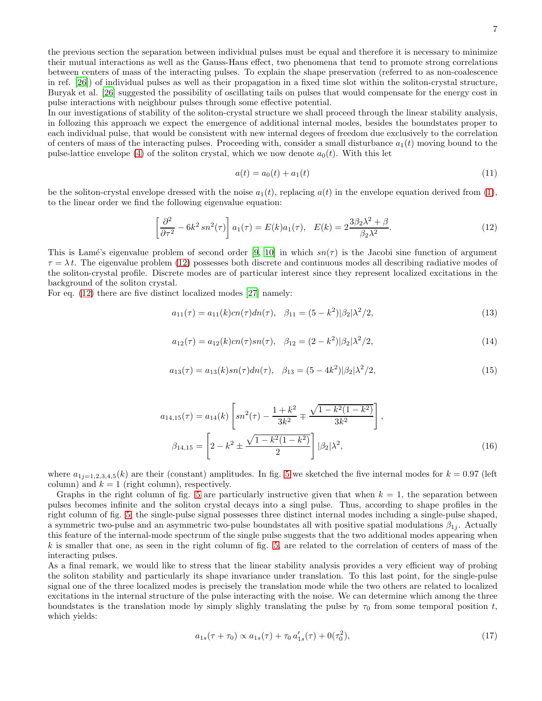the previous section the separation between individual pulses must be equal and therefore it is necessary to minimize their mutual interactions as well as the Gauss-Haus effect, two phenomena that tend to promote strong correlations between centers of mass of the interacting pulses. To explain the shape preservation (referred to as non-coalescence in ref. [\[26\]](#page-9-7)) of individual pulses as well as their propagation in a fixed time slot within the soliton-crystal structure, Buryak et al. [\[26\]](#page-9-7) suggested the possibility of oscillating tails on pulses that would compensate for the energy cost in pulse interactions with neighbour pulses through some effective potential.

In our investigations of stability of the soliton-crystal structure we shall proceed through the linear stability analysis, in follozing this approach we expect the emergence of additional internal modes, besides the boundstates proper to each individual pulse, that would be consistent with new internal degees of freedom due exclusively to the correlation of centers of mass of the interacting pulses. Proceeding with, consider a small disturbance  $a_1(t)$  moving bound to the pulse-lattice envelope [\(4\)](#page-2-2) of the soliton crystal, which we now denote  $a_0(t)$ . With this let

$$
a(t) = a_0(t) + a_1(t)
$$
\n(11)

be the soliton-crystal envelope dressed with the noise  $a_1(t)$ , replacing  $a(t)$  in the envelope equation derived from [\(1\)](#page-1-1), to the linear order we find the following eigenvalue equation:

<span id="page-6-0"></span>
$$
\left[\frac{\partial^2}{\partial \tau^2} - 6k^2 \operatorname{sn}^2(\tau)\right] a_1(\tau) = E(k) a_1(\tau), \quad E(k) = 2 \frac{3\beta_2 \lambda^2 + \beta}{\beta_2 \lambda^2}.
$$
\n
$$
(12)
$$

This is Lamé's eigenvalue problem of second order [\[9](#page-8-16), [10](#page-8-15)] in which  $sn(\tau)$  is the Jacobi sine function of argument  $\tau = \lambda t$ . The eigenvalue problem [\(12\)](#page-6-0) possesses both discrete and continuous modes all describing radiative modes of the soliton-crystal profile. Discrete modes are of particular interest since they represent localized excitations in the background of the soliton crystal.

For eq. [\(12\)](#page-6-0) there are five distinct localized modes [\[27\]](#page-9-8) namely:

<span id="page-6-1"></span>
$$
a_{11}(\tau) = a_{11}(k)cn(\tau)dn(\tau), \quad \beta_{11} = (5 - k^2)|\beta_2|\lambda^2/2,
$$
\n(13)

<span id="page-6-4"></span>
$$
a_{12}(\tau) = a_{12}(k)cn(\tau)sn(\tau), \quad \beta_{12} = (2 - k^2)|\beta_2|\lambda^2/2,
$$
\n(14)

<span id="page-6-5"></span>
$$
a_{13}(\tau) = a_{13}(k)sn(\tau)dn(\tau), \quad \beta_{13} = (5 - 4k^2)|\beta_2|\lambda^2/2,
$$
\n(15)

<span id="page-6-2"></span>
$$
a_{14,15}(\tau) = a_{14}(k) \left[ sn^2(\tau) - \frac{1+k^2}{3k^2} \mp \frac{\sqrt{1-k^2(1-k^2)}}{3k^2} \right],
$$
  

$$
\beta_{14,15} = \left[ 2 - k^2 \pm \frac{\sqrt{1-k^2(1-k^2)}}{2} \right] |\beta_2| \lambda^2,
$$
 (16)

where  $a_{1j=1,2,3,4,5}(k)$  are their (constant) amplitudes. In fig. [5](#page-7-0) we sketched the five internal modes for  $k = 0.97$  (left column) and  $k = 1$  (right column), respectively.

Graphs in the right column of fig. [5](#page-7-0) are particularly instructive given that when  $k = 1$ , the separation between pulses becomes infinite and the soliton crystal decays into a singl pulse. Thus, according to shape profiles in the right column of fig. [5,](#page-7-0) the single-pulse signal possesses three distinct internal modes including a single-pulse shaped, a symmetric two-pulse and an asymmetric two-pulse boundstates all with positive spatial modulations  $\beta_{1j}$ . Actually this feature of the internal-mode spectrum of the single pulse suggests that the two additional modes appearing when  $k$  is smaller that one, as seen in the right column of fig. [5,](#page-7-0) are related to the correlation of centers of mass of the interacting pulses.

As a final remark, we would like to stress that the linear stability analysis provides a very efficient way of probing the soliton stability and particularly its shape invariance under translation. To this last point, for the single-pulse signal one of the three localized modes is precisely the translation mode while the two others are related to localized excitations in the internal structure of the pulse interacting with the noise. We can determine which among the three boundstates is the translation mode by simply slighly translating the pulse by  $\tau_0$  from some temporal position t, which yields:

<span id="page-6-3"></span>
$$
a_{1s}(\tau + \tau_0) \propto a_{1s}(\tau) + \tau_0 a'_{1s}(\tau) + 0(\tau_0^2), \tag{17}
$$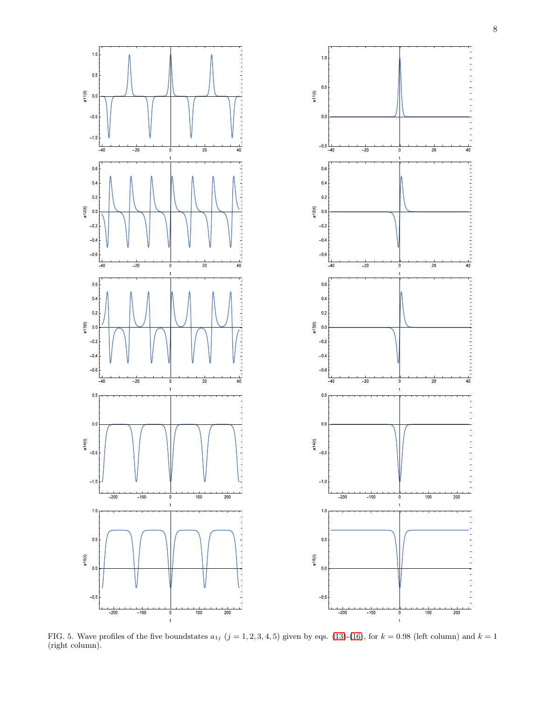

<span id="page-7-0"></span>FIG. 5. Wave profiles of the five boundstates  $a_{1j}$   $(j = 1, 2, 3, 4, 5)$  given by eqs. [\(13\)](#page-6-1)-[\(16\)](#page-6-2), for  $k = 0.98$  (left column) and  $k = 1$ (right column).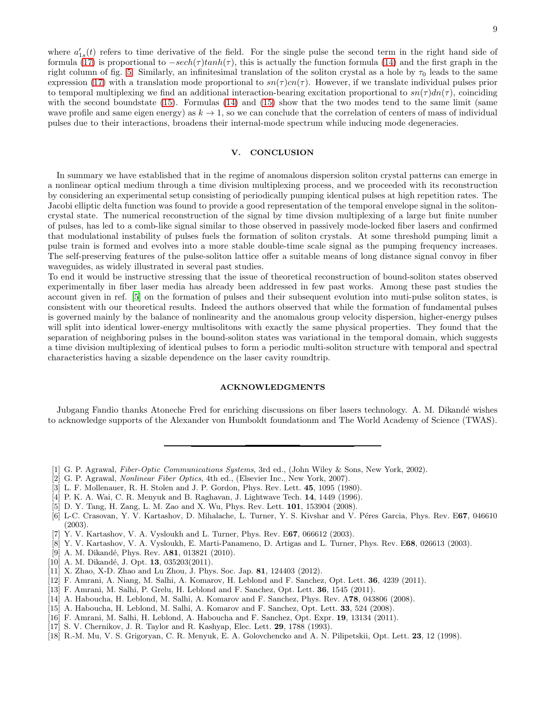where  $a'_{1s}(t)$  refers to time derivative of the field. For the single pulse the second term in the right hand side of formula [\(17\)](#page-6-3) is proportional to  $-sech(\tau)$ tanh( $\tau$ ), this is actually the function formula [\(14\)](#page-6-4) and the first graph in the right column of fig. [5.](#page-7-0) Similarly, an infinitesimal translation of the soliton crystal as a hole by  $\tau_0$  leads to the same expression [\(17\)](#page-6-3) with a translation mode proportional to  $sn(\tau)cn(\tau)$ . However, if we translate individual pulses prior to temporal multiplexing we find an additional interaction-bearing excitation proportional to  $sn(\tau)dn(\tau)$ , coinciding with the second boundstate [\(15\)](#page-6-5). Formulas [\(14\)](#page-6-4) and (15) show that the two modes tend to the same limit (same wave profile and same eigen energy) as  $k \to 1$ , so we can conclude that the correlation of centers of mass of individual pulses due to their interactions, broadens their internal-mode spectrum while inducing mode degeneracies.

# <span id="page-8-13"></span>V. CONCLUSION

In summary we have established that in the regime of anomalous dispersion soliton crystal patterns can emerge in a nonlinear optical medium through a time division multiplexing process, and we proceeded with its reconstruction by considering an experimental setup consisting of periodically pumping identical pulses at high repetition rates. The Jacobi elliptic delta function was found to provide a good representation of the temporal envelope signal in the solitoncrystal state. The numerical reconstruction of the signal by time divsion multiplexing of a large but finite number of pulses, has led to a comb-like signal similar to those observed in passively mode-locked fiber lasers and confirmed that modulational instability of pulses fuels the formation of soliton crystals. At some threshold pumping limit a pulse train is formed and evolves into a more stable double-time scale signal as the pumping frequency increases. The self-preserving features of the pulse-soliton lattice offer a suitable means of long distance signal convoy in fiber waveguides, as widely illustrated in several past studies.

To end it would be instructive stressing that the issue of theoretical reconstruction of bound-soliton states observed experimentally in fiber laser media has already been addressed in few past works. Among these past studies the account given in ref. [\[5\]](#page-8-4) on the formation of pulses and their subsequent evolution into muti-pulse soliton states, is consistent with our theoretical results. Indeed the authors observed that while the formation of fundamental pulses is governed mainly by the balance of nonlinearity and the anomalous group velocity dispersion, higher-energy pulses will split into identical lower-energy multisolitons with exactly the same physical properties. They found that the separation of neighboring pulses in the bound-soliton states was variational in the temporal domain, which suggests a time division multiplexing of identical pulses to form a periodic multi-soliton structure with temporal and spectral characteristics having a sizable dependence on the laser cavity roundtrip.

### ACKNOWLEDGMENTS

Jubgang Fandio thanks Atoneche Fred for enriching discussions on fiber lasers technology. A. M. Dikand´e wishes to acknowledge supports of the Alexander von Humboldt foundationm and The World Academy of Science (TWAS).

- <span id="page-8-1"></span>[2] G. P. Agrawal, Nonlinear Fiber Optics, 4th ed., (Elsevier Inc., New York, 2007).
- <span id="page-8-2"></span>[3] L. F. Mollenauer, R. H. Stolen and J. P. Gordon, Phys. Rev. Lett. 45, 1095 (1980).
- <span id="page-8-3"></span>[4] P. K. A. Wai, C. R. Menyuk and B. Raghavan, J. Lightwave Tech. 14, 1449 (1996).
- <span id="page-8-4"></span>[5] D. Y. Tang, H. Zang, L. M. Zao and X. Wu, Phys. Rev. Lett. 101, 153904 (2008).
- <span id="page-8-14"></span>[6] L-C. Crasovan, Y. V. Kartashov, D. Mihalache, L. Turner, Y. S. Kivshar and V. Péres Garcia, Phys. Rev. E67, 046610 (2003).
- [7] Y. V. Kartashov, V. A. Vysloukh and L. Turner, Phys. Rev. E67, 066612 (2003).
- [8] Y. V. Kartashov, V. A. Vysloukh, E. Marti-Panameno, D. Artigas and L. Turner, Phys. Rev. E68, 026613 (2003).
- <span id="page-8-16"></span>[9] A. M. Dikandé, Phys. Rev. A81, 013821 (2010).
- <span id="page-8-15"></span>[10] A. M. Dikandé, J. Opt.  $13$ ,  $035203(2011)$ .
- <span id="page-8-5"></span>[11] X. Zhao, X-D. Zhao and Lu Zhou, J. Phys. Soc. Jap. 81, 124403 (2012).
- <span id="page-8-6"></span>[12] F. Amrani, A. Niang, M. Salhi, A. Komarov, H. Leblond and F. Sanchez, Opt. Lett. 36, 4239 (2011).
- <span id="page-8-12"></span>[13] F. Amrani, M. Salhi, P. Grelu, H. Leblond and F. Sanchez, Opt. Lett. 36, 1545 (2011).
- <span id="page-8-8"></span>[14] A. Haboucha, H. Leblond, M. Salhi, A. Komarov and F. Sanchez, Phys. Rev. A78, 043806 (2008).
- <span id="page-8-9"></span>[15] A. Haboucha, H. Leblond, M. Salhi, A. Komarov and F. Sanchez, Opt. Lett. 33, 524 (2008).
- <span id="page-8-7"></span>[16] F. Amrani, M. Salhi, H. Leblond, A. Haboucha and F. Sanchez, Opt. Expr. 19, 13134 (2011).
- <span id="page-8-10"></span>[17] S. V. Chernikov, J. R. Taylor and R. Kashyap, Elec. Lett. **29**, 1788 (1993).
- <span id="page-8-11"></span>[18] R.-M. Mu, V. S. Grigoryan, C. R. Menyuk, E. A. Golovchencko and A. N. Pilipetskii, Opt. Lett. 23, 12 (1998).

<span id="page-8-0"></span><sup>[1]</sup> G. P. Agrawal, Fiber-Optic Communications Systems, 3rd ed., (John Wiley & Sons, New York, 2002).